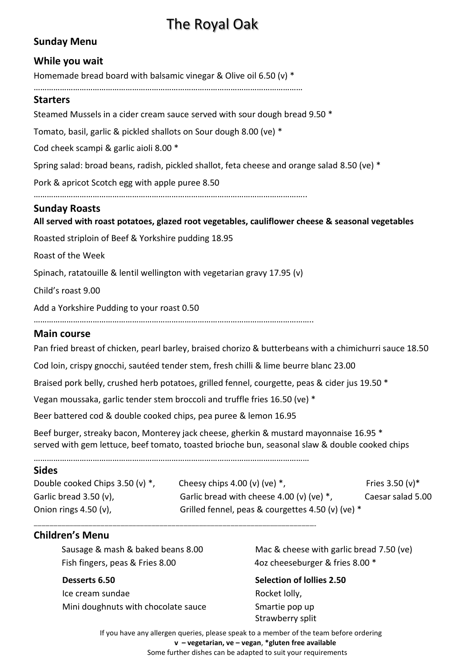# The Royal Oak

# **Sunday Menu**

## **While you wait**

Homemade bread board with balsamic vinegar & Olive oil 6.50 (v) \*

……………………………………………………………………………………………………………

## **Starters**

Steamed Mussels in a cider cream sauce served with sour dough bread 9.50 \*

Tomato, basil, garlic & pickled shallots on Sour dough 8.00 (ve) \*

Cod cheek scampi & garlic aioli 8.00 \*

Spring salad: broad beans, radish, pickled shallot, feta cheese and orange salad 8.50 (ve) \*

Pork & apricot Scotch egg with apple puree 8.50

……………………………………………………………………………………………………………..

## **Sunday Roasts**

## **All served with roast potatoes, glazed root vegetables, cauliflower cheese & seasonal vegetables**

Roasted striploin of Beef & Yorkshire pudding 18.95

Roast of the Week

Spinach, ratatouille & lentil wellington with vegetarian gravy 17.95 (v)

Child's roast 9.00

Add a Yorkshire Pudding to your roast 0.50

………………………………………………………………………………………………………………..

## **Main course**

Pan fried breast of chicken, pearl barley, braised chorizo & butterbeans with a chimichurri sauce 18.50

Cod loin, crispy gnocchi, sautéed tender stem, fresh chilli & lime beurre blanc 23.00

Braised pork belly, crushed herb potatoes, grilled fennel, courgette, peas & cider jus 19.50 \*

Vegan moussaka, garlic tender stem broccoli and truffle fries 16.50 (ve) \*

Beer battered cod & double cooked chips, pea puree & lemon 16.95

Beef burger, streaky bacon, Monterey jack cheese, gherkin & mustard mayonnaise 16.95 \* served with gem lettuce, beef tomato, toasted brioche bun, seasonal slaw & double cooked chips

………………………………………………………………………………………………………………

**……………………………………………………………………………………………………………………………………………………………………………………………..**

#### **Sides**

Double cooked Chips 3.50 (v)  $^*$ , Cheesy chips 4.00 (v) (ve)  $^*$ , Fries 3.50 (v)  $^*$ Garlic bread 3.50 (v), Garlic bread with cheese 4.00 (v) (ve) \*, Caesar salad 5.00 Onion rings 4.50 (v),  $\qquad \qquad$  Grilled fennel, peas & courgettes 4.50 (v) (ve)  $*$ 

## **Children's Menu**

 Sausage & mash & baked beans 8.00 Fish fingers, peas & Fries 8.00

#### **Desserts 6.50**

Ice cream sundae Mini doughnuts with chocolate sauce Mac & cheese with garlic bread 7.50 (ve) 4oz cheeseburger & fries 8.00 \*

#### **Selection of lollies 2.50** Rocket lolly,

Smartie pop up Strawberry split

If you have any allergen queries, please speak to a member of the team before ordering **v – vegetarian, ve – vegan**, **\*gluten free available** Some further dishes can be adapted to suit your requirements